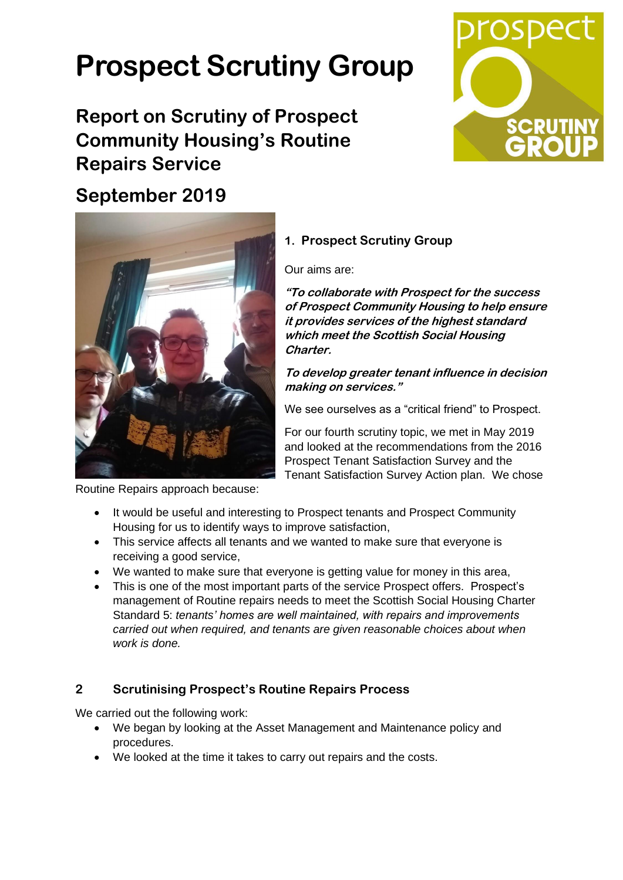# **Prospect Scrutiny Group**

# **Report on Scrutiny of Prospect Community Housing's Routine Repairs Service**



## **September 2019**



Routine Repairs approach because:

## **1. Prospect Scrutiny Group**

Our aims are:

**"To collaborate with Prospect for the success of Prospect Community Housing to help ensure it provides services of the highest standard which meet the Scottish Social Housing Charter.**

**To develop greater tenant influence in decision making on services."**

We see ourselves as a "critical friend" to Prospect.

For our fourth scrutiny topic, we met in May 2019 and looked at the recommendations from the 2016 Prospect Tenant Satisfaction Survey and the Tenant Satisfaction Survey Action plan. We chose

- It would be useful and interesting to Prospect tenants and Prospect Community Housing for us to identify ways to improve satisfaction,
- This service affects all tenants and we wanted to make sure that everyone is receiving a good service,
- We wanted to make sure that everyone is getting value for money in this area,
- This is one of the most important parts of the service Prospect offers. Prospect's management of Routine repairs needs to meet the Scottish Social Housing Charter Standard 5: *tenants' homes are well maintained, with repairs and improvements carried out when required, and tenants are given reasonable choices about when work is done.*

### **2 Scrutinising Prospect's Routine Repairs Process**

We carried out the following work:

- We began by looking at the Asset Management and Maintenance policy and procedures.
- We looked at the time it takes to carry out repairs and the costs.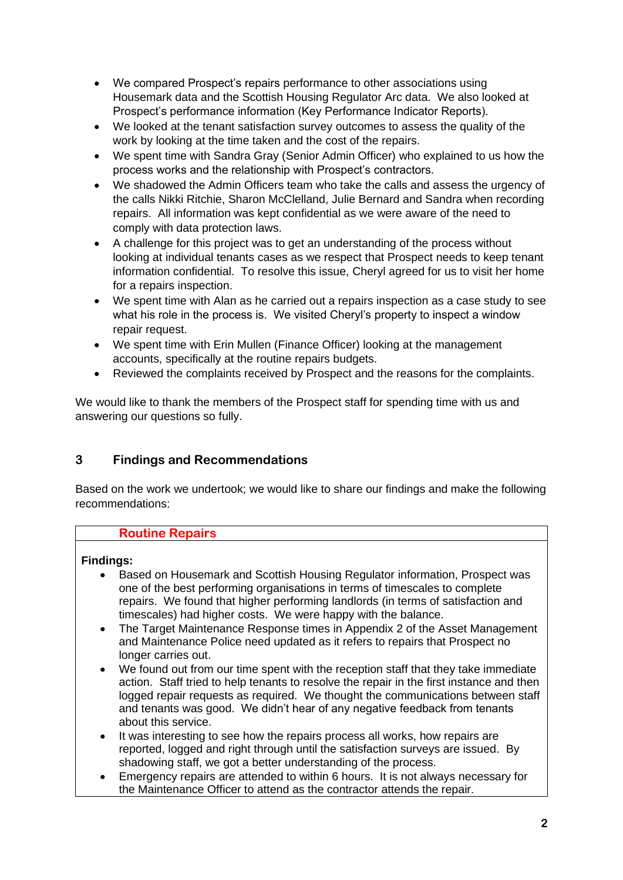- We compared Prospect's repairs performance to other associations using Housemark data and the Scottish Housing Regulator Arc data. We also looked at Prospect's performance information (Key Performance Indicator Reports).
- We looked at the tenant satisfaction survey outcomes to assess the quality of the work by looking at the time taken and the cost of the repairs.
- We spent time with Sandra Gray (Senior Admin Officer) who explained to us how the process works and the relationship with Prospect's contractors.
- We shadowed the Admin Officers team who take the calls and assess the urgency of the calls Nikki Ritchie, Sharon McClelland, Julie Bernard and Sandra when recording repairs. All information was kept confidential as we were aware of the need to comply with data protection laws.
- A challenge for this project was to get an understanding of the process without looking at individual tenants cases as we respect that Prospect needs to keep tenant information confidential. To resolve this issue, Cheryl agreed for us to visit her home for a repairs inspection.
- We spent time with Alan as he carried out a repairs inspection as a case study to see what his role in the process is. We visited Cheryl's property to inspect a window repair request.
- We spent time with Erin Mullen (Finance Officer) looking at the management accounts, specifically at the routine repairs budgets.
- Reviewed the complaints received by Prospect and the reasons for the complaints.

We would like to thank the members of the Prospect staff for spending time with us and answering our questions so fully.

#### **3 Findings and Recommendations**

Based on the work we undertook; we would like to share our findings and make the following recommendations:

#### **Routine Repairs**

#### **Findings:**

- Based on Housemark and Scottish Housing Regulator information, Prospect was one of the best performing organisations in terms of timescales to complete repairs. We found that higher performing landlords (in terms of satisfaction and timescales) had higher costs. We were happy with the balance.
- The Target Maintenance Response times in Appendix 2 of the Asset Management and Maintenance Police need updated as it refers to repairs that Prospect no longer carries out.
- We found out from our time spent with the reception staff that they take immediate action. Staff tried to help tenants to resolve the repair in the first instance and then logged repair requests as required. We thought the communications between staff and tenants was good. We didn't hear of any negative feedback from tenants about this service.
- It was interesting to see how the repairs process all works, how repairs are reported, logged and right through until the satisfaction surveys are issued. By shadowing staff, we got a better understanding of the process.
- Emergency repairs are attended to within 6 hours. It is not always necessary for the Maintenance Officer to attend as the contractor attends the repair.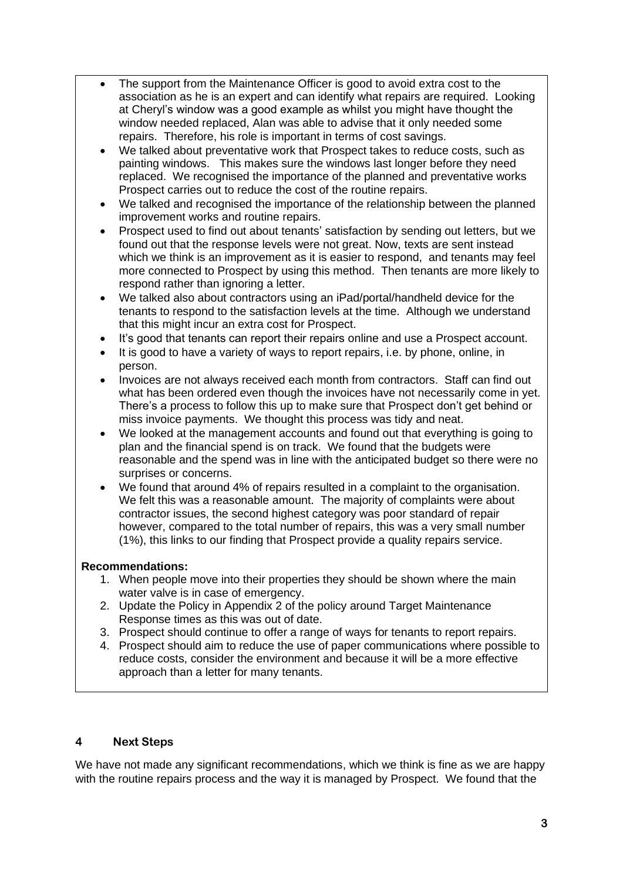- The support from the Maintenance Officer is good to avoid extra cost to the association as he is an expert and can identify what repairs are required. Looking at Cheryl's window was a good example as whilst you might have thought the window needed replaced, Alan was able to advise that it only needed some repairs. Therefore, his role is important in terms of cost savings.
- We talked about preventative work that Prospect takes to reduce costs, such as painting windows. This makes sure the windows last longer before they need replaced. We recognised the importance of the planned and preventative works Prospect carries out to reduce the cost of the routine repairs.
- We talked and recognised the importance of the relationship between the planned improvement works and routine repairs.
- Prospect used to find out about tenants' satisfaction by sending out letters, but we found out that the response levels were not great. Now, texts are sent instead which we think is an improvement as it is easier to respond, and tenants may feel more connected to Prospect by using this method. Then tenants are more likely to respond rather than ignoring a letter.
- We talked also about contractors using an iPad/portal/handheld device for the tenants to respond to the satisfaction levels at the time. Although we understand that this might incur an extra cost for Prospect.
- It's good that tenants can report their repairs online and use a Prospect account.
- It is good to have a variety of ways to report repairs, i.e. by phone, online, in person.
- Invoices are not always received each month from contractors. Staff can find out what has been ordered even though the invoices have not necessarily come in yet. There's a process to follow this up to make sure that Prospect don't get behind or miss invoice payments. We thought this process was tidy and neat.
- We looked at the management accounts and found out that everything is going to plan and the financial spend is on track. We found that the budgets were reasonable and the spend was in line with the anticipated budget so there were no surprises or concerns.
- We found that around 4% of repairs resulted in a complaint to the organisation. We felt this was a reasonable amount. The majority of complaints were about contractor issues, the second highest category was poor standard of repair however, compared to the total number of repairs, this was a very small number (1%), this links to our finding that Prospect provide a quality repairs service.

#### **Recommendations:**

- 1. When people move into their properties they should be shown where the main water valve is in case of emergency.
- 2. Update the Policy in Appendix 2 of the policy around Target Maintenance Response times as this was out of date.
- 3. Prospect should continue to offer a range of ways for tenants to report repairs.
- 4. Prospect should aim to reduce the use of paper communications where possible to reduce costs, consider the environment and because it will be a more effective approach than a letter for many tenants.

#### **4 Next Steps**

We have not made any significant recommendations, which we think is fine as we are happy with the routine repairs process and the way it is managed by Prospect. We found that the